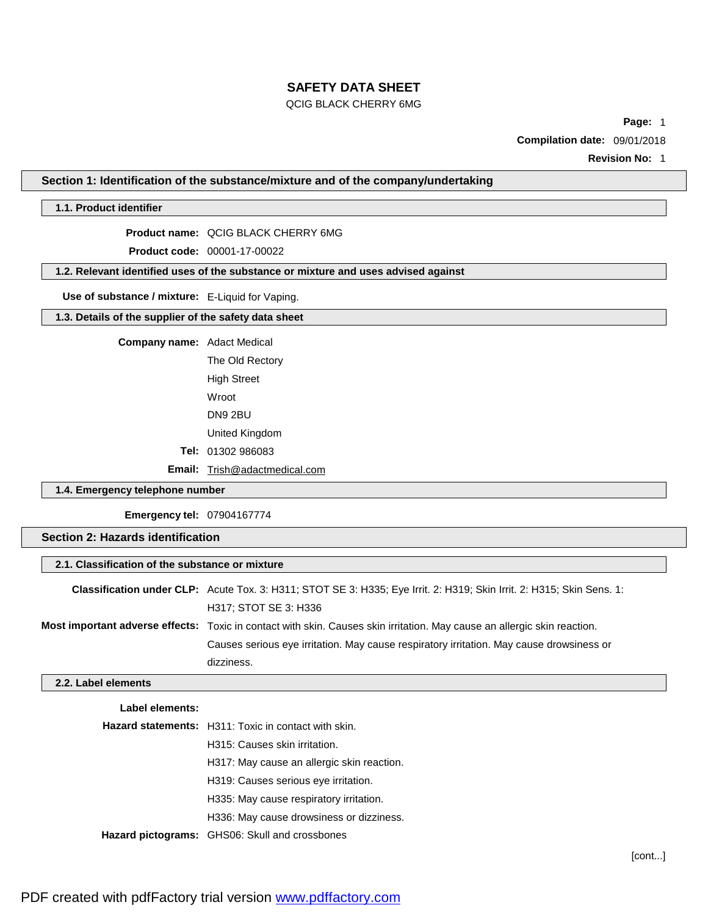### QCIG BLACK CHERRY 6MG

**Page:** 1

**Compilation date:** 09/01/2018

**Revision No:** 1

**Section 1: Identification of the substance/mixture and of the company/undertaking**

# **1.1. Product identifier**

**Product name:** QCIG BLACK CHERRY 6MG

**Product code:** 00001-17-00022

**1.2. Relevant identified uses of the substance or mixture and uses advised against**

**Use of substance / mixture:** E-Liquid for Vaping.

**1.3. Details of the supplier of the safety data sheet**

**Company name:** Adact Medical

The Old Rectory High Street Wroot DN9 2BU United Kingdom **Tel:** 01302 986083

**Email:** [Trish@adactmedical.com](mailto:Trish@adactmedical.com)

## **1.4. Emergency telephone number**

**Emergency tel:** 07904167774

# **Section 2: Hazards identification**

| 2.1. Classification of the substance or mixture |                                                                                                                          |  |
|-------------------------------------------------|--------------------------------------------------------------------------------------------------------------------------|--|
|                                                 | Classification under CLP: Acute Tox. 3: H311; STOT SE 3: H335; Eye Irrit. 2: H319; Skin Irrit. 2: H315; Skin Sens. 1:    |  |
|                                                 | H317; STOT SE 3: H336                                                                                                    |  |
|                                                 | Most important adverse effects: Toxic in contact with skin. Causes skin irritation. May cause an allergic skin reaction. |  |
|                                                 | Causes serious eye irritation. May cause respiratory irritation. May cause drowsiness or                                 |  |
|                                                 | dizziness.                                                                                                               |  |

### **2.2. Label elements**

| Label elements: |                                                             |
|-----------------|-------------------------------------------------------------|
|                 | <b>Hazard statements:</b> H311: Toxic in contact with skin. |
|                 | H315: Causes skin irritation.                               |
|                 | H317: May cause an allergic skin reaction.                  |
|                 | H319: Causes serious eye irritation.                        |
|                 | H335: May cause respiratory irritation.                     |
|                 | H336: May cause drowsiness or dizziness.                    |
|                 | Hazard pictograms: GHS06: Skull and crossbones              |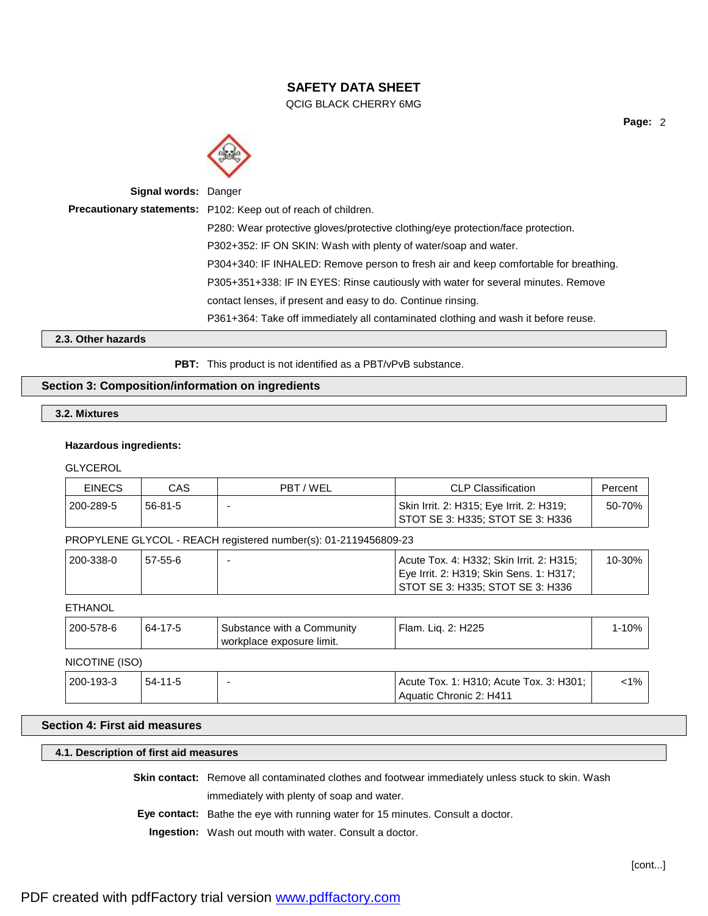QCIG BLACK CHERRY 6MG



| <b>Signal words: Danger</b> |                                                                                      |
|-----------------------------|--------------------------------------------------------------------------------------|
|                             | Precautionary statements: P102: Keep out of reach of children.                       |
|                             | P280: Wear protective gloves/protective clothing/eye protection/face protection.     |
|                             | P302+352: IF ON SKIN: Wash with plenty of water/soap and water.                      |
|                             | P304+340: IF INHALED: Remove person to fresh air and keep comfortable for breathing. |
|                             | P305+351+338: IF IN EYES: Rinse cautiously with water for several minutes. Remove    |
|                             | contact lenses, if present and easy to do. Continue rinsing.                         |
|                             | P361+364: Take off immediately all contaminated clothing and wash it before reuse.   |
|                             |                                                                                      |

**2.3. Other hazards**

PBT: This product is not identified as a PBT/vPvB substance.

## **Section 3: Composition/information on ingredients**

# **3.2. Mixtures**

## **Hazardous ingredients:**

**GLYCEROL** 

| <b>EINECS</b>  | <b>CAS</b>    | PBT/WEL                                                         | <b>CLP Classification</b>                | Percent   |
|----------------|---------------|-----------------------------------------------------------------|------------------------------------------|-----------|
| 200-289-5      | $56 - 81 - 5$ |                                                                 | Skin Irrit. 2: H315; Eye Irrit. 2: H319; | 50-70%    |
|                |               |                                                                 | STOT SE 3: H335; STOT SE 3: H336         |           |
|                |               | PROPYLENE GLYCOL - REACH registered number(s): 01-2119456809-23 |                                          |           |
| 200-338-0      | $57-55-6$     |                                                                 | Acute Tox. 4: H332; Skin Irrit. 2: H315; | 10-30%    |
|                |               |                                                                 | Eye Irrit. 2: H319; Skin Sens. 1: H317;  |           |
|                |               |                                                                 | STOT SE 3: H335; STOT SE 3: H336         |           |
| <b>ETHANOL</b> |               |                                                                 |                                          |           |
| 200-578-6      | 64-17-5       | Substance with a Community<br>workplace exposure limit.         | Flam. Liq. 2: H225                       | $1 - 10%$ |

## NICOTINE (ISO)

| 200-193-3 | . 54-11-5 |  | Acute Tox. 1: H310; Acute Tox. 3: H301;<br>Aquatic Chronic 2: H411 | 1% |
|-----------|-----------|--|--------------------------------------------------------------------|----|
|-----------|-----------|--|--------------------------------------------------------------------|----|

## **Section 4: First aid measures**

# **4.1. Description of first aid measures**

**Skin contact:** Remove all contaminated clothes and footwear immediately unless stuck to skin. Wash

immediately with plenty of soap and water.

**Eye contact:** Bathe the eye with running water for 15 minutes. Consult a doctor.

**Ingestion:** Wash out mouth with water. Consult a doctor.

**Page:** 2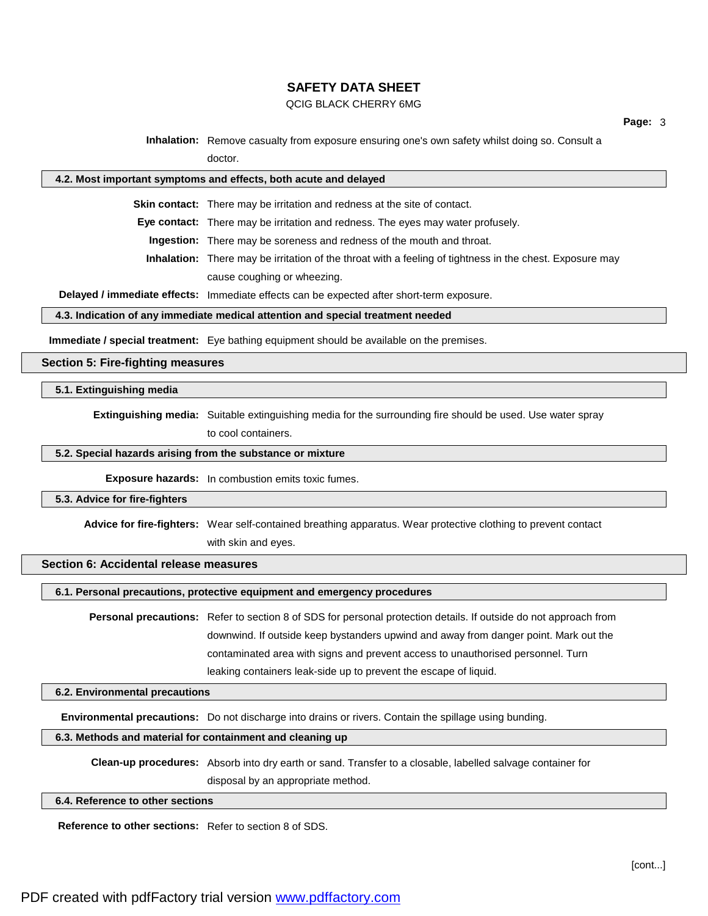#### QCIG BLACK CHERRY 6MG

**Inhalation:** Remove casualty from exposure ensuring one's own safety whilst doing so. Consult a doctor.

#### **4.2. Most important symptoms and effects, both acute and delayed**

**Skin contact:** There may be irritation and redness at the site of contact.

**Eye contact:** There may be irritation and redness. The eyes may water profusely.

**Ingestion:** There may be soreness and redness of the mouth and throat.

**Inhalation:** There may be irritation of the throat with a feeling of tightness in the chest. Exposure may cause coughing or wheezing.

**Delayed / immediate effects:** Immediate effects can be expected after short-term exposure.

#### **4.3. Indication of any immediate medical attention and special treatment needed**

**Immediate / special treatment:** Eye bathing equipment should be available on the premises.

#### **Section 5: Fire-fighting measures**

#### **5.1. Extinguishing media**

**Extinguishing media:** Suitable extinguishing media for the surrounding fire should be used. Use water spray

to cool containers.

#### **5.2. Special hazards arising from the substance or mixture**

**Exposure hazards:** In combustion emits toxic fumes.

#### **5.3. Advice for fire-fighters**

**Advice for fire-fighters:** Wear self-contained breathing apparatus. Wear protective clothing to prevent contact

with skin and eyes.

## **Section 6: Accidental release measures**

**6.1. Personal precautions, protective equipment and emergency procedures**

**Personal precautions:** Refer to section 8 of SDS for personal protection details. If outside do not approach from downwind. If outside keep bystanders upwind and away from danger point. Mark out the contaminated area with signs and prevent access to unauthorised personnel. Turn leaking containers leak-side up to prevent the escape of liquid.

#### **6.2. Environmental precautions**

**Environmental precautions:** Do not discharge into drains or rivers. Contain the spillage using bunding.

## **6.3. Methods and material for containment and cleaning up**

**Clean-up procedures:** Absorb into dry earth or sand. Transfer to a closable, labelled salvage container for disposal by an appropriate method.

**6.4. Reference to other sections**

**Reference to other sections:** Refer to section 8 of SDS.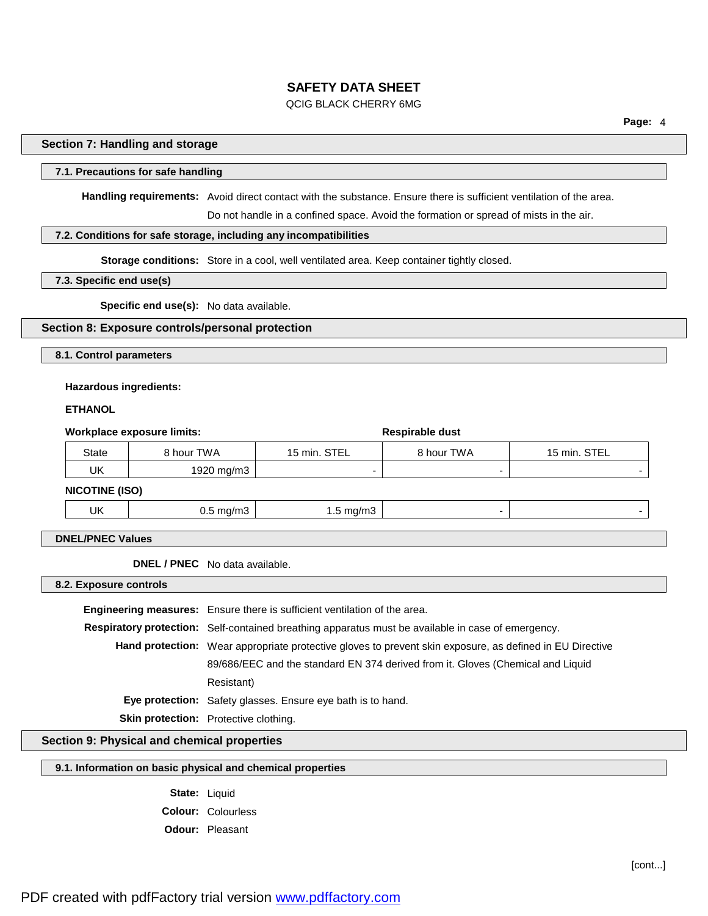#### QCIG BLACK CHERRY 6MG

**Page:** 4

#### **Section 7: Handling and storage**

### **7.1. Precautions for safe handling**

**Handling requirements:** Avoid direct contact with the substance. Ensure there is sufficient ventilation of the area.

Do not handle in a confined space. Avoid the formation or spread of mists in the air.

## **7.2. Conditions for safe storage, including any incompatibilities**

**Storage conditions:** Store in a cool, well ventilated area. Keep container tightly closed.

#### **7.3. Specific end use(s)**

**Specific end use(s):** No data available.

#### **Section 8: Exposure controls/personal protection**

**8.1. Control parameters**

#### **Hazardous ingredients:**

#### **ETHANOL**

| Workplace exposure limits: |                      |                      | Respirable dust |              |
|----------------------------|----------------------|----------------------|-----------------|--------------|
| <b>State</b>               | 8 hour TWA           | 15 min. STEL         | 8 hour TWA      | 15 min. STEL |
| UK                         | 1920 mg/m3           |                      | -               |              |
| <b>NICOTINE (ISO)</b>      |                      |                      |                 |              |
| UK                         | $0.5 \text{ mg/m}$ 3 | $1.5 \text{ mg/m}$ 3 | -               |              |

## **DNEL/PNEC Values**

**DNEL / PNEC** No data available.

**8.2. Exposure controls**

**Engineering measures:** Ensure there is sufficient ventilation of the area. **Respiratory protection:** Self-contained breathing apparatus must be available in case of emergency. **Hand protection:** Wear appropriate protective gloves to prevent skin exposure, as defined in EU Directive 89/686/EEC and the standard EN 374 derived from it. Gloves (Chemical and Liquid Resistant) **Eye protection:** Safety glasses. Ensure eye bath is to hand. **Skin protection:** Protective clothing.

**Section 9: Physical and chemical properties**

### **9.1. Information on basic physical and chemical properties**

**State:** Liquid **Colour:** Colourless **Odour:** Pleasant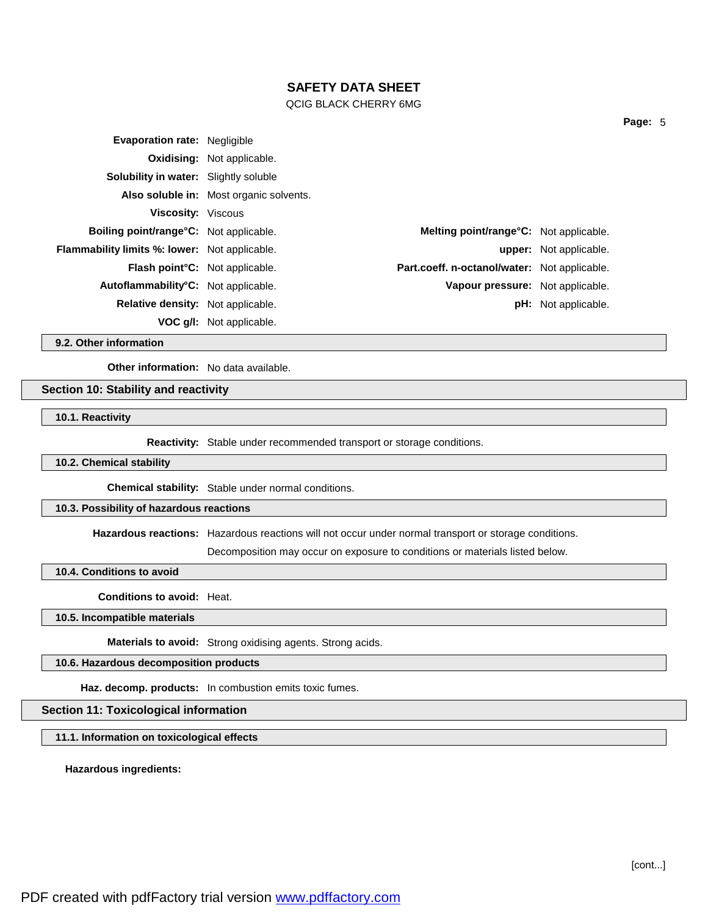### QCIG BLACK CHERRY 6MG

| <b>Evaporation rate: Negligible</b>                  |                                         |                                                |                               |
|------------------------------------------------------|-----------------------------------------|------------------------------------------------|-------------------------------|
|                                                      | <b>Oxidising: Not applicable.</b>       |                                                |                               |
| <b>Solubility in water:</b> Slightly soluble         |                                         |                                                |                               |
|                                                      | Also soluble in: Most organic solvents. |                                                |                               |
| <b>Viscosity: Viscous</b>                            |                                         |                                                |                               |
| <b>Boiling point/range °C:</b> Not applicable.       |                                         | <b>Melting point/range °C:</b> Not applicable. |                               |
| <b>Flammability limits %: lower:</b> Not applicable. |                                         |                                                | <b>upper:</b> Not applicable. |
| <b>Flash point C:</b> Not applicable.                |                                         | Part.coeff. n-octanol/water: Not applicable.   |                               |
| Autoflammability°C: Not applicable.                  |                                         | Vapour pressure: Not applicable.               |                               |
| <b>Relative density:</b> Not applicable.             |                                         |                                                | <b>pH:</b> Not applicable.    |
|                                                      | <b>VOC g/l:</b> Not applicable.         |                                                |                               |
|                                                      |                                         |                                                |                               |

**9.2. Other information**

**Other information:** No data available.

#### **Section 10: Stability and reactivity**

**10.1. Reactivity**

**Reactivity:** Stable under recommended transport or storage conditions.

#### **10.2. Chemical stability**

**Chemical stability:** Stable under normal conditions.

# **10.3. Possibility of hazardous reactions**

**Hazardous reactions:** Hazardous reactions will not occur under normal transport or storage conditions.

Decomposition may occur on exposure to conditions or materials listed below.

**10.4. Conditions to avoid**

**Conditions to avoid:** Heat.

**10.5. Incompatible materials**

**Materials to avoid:** Strong oxidising agents. Strong acids.

**10.6. Hazardous decomposition products**

**Haz. decomp. products:** In combustion emits toxic fumes.

### **Section 11: Toxicological information**

**11.1. Information on toxicological effects**

**Hazardous ingredients:**

**Page:** 5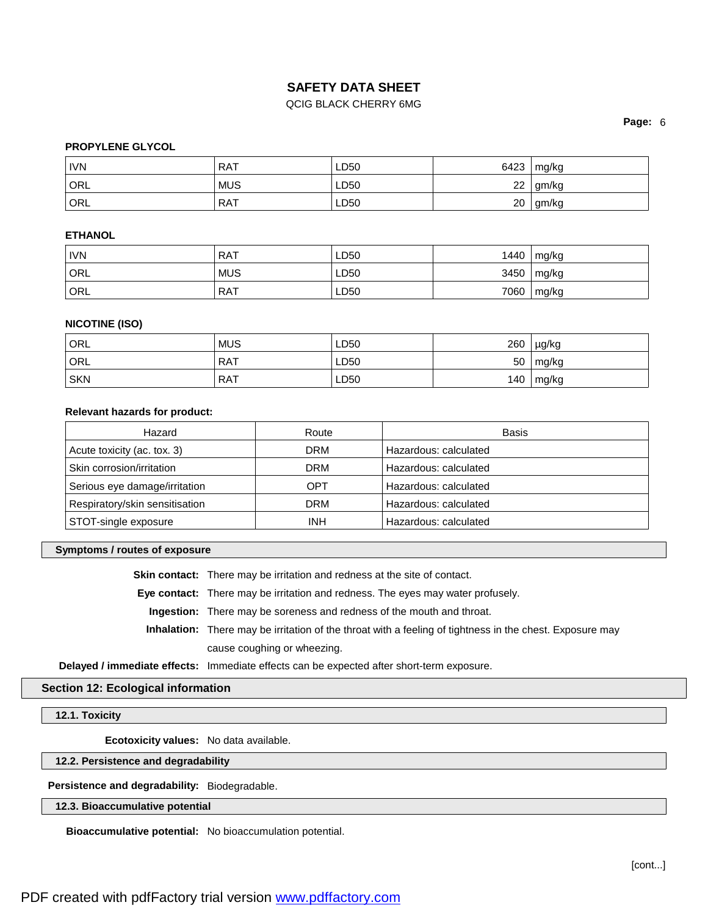## QCIG BLACK CHERRY 6MG

**Page:** 6

## **PROPYLENE GLYCOL**

| <b>IVN</b> | <b>RAT</b> | LD50 | 6423 | mg/kg |
|------------|------------|------|------|-------|
| <b>ORL</b> | <b>MUS</b> | LD50 | 22   | gm/kg |
| ORL        | <b>RAT</b> | LD50 | 20   | gm/kg |

## **ETHANOL**

| <b>IVN</b> | RAT        | LD50 | 1440 | mg/kg         |
|------------|------------|------|------|---------------|
| ORL        | <b>MUS</b> | LD50 | 3450 | $\vert$ mg/kg |
| ORL        | RAT        | LD50 | 7060 | mg/kg         |

## **NICOTINE (ISO)**

| ORL        | <b>MUS</b> | LD50 | 260 | µg/kg |
|------------|------------|------|-----|-------|
| ORL        | <b>RAT</b> | LD50 | 50  | mg/kg |
| <b>SKN</b> | <b>RAT</b> | LD50 | 140 | mg/kg |

#### **Relevant hazards for product:**

| Hazard                         | Route      | Basis                 |
|--------------------------------|------------|-----------------------|
| Acute toxicity (ac. tox. 3)    | DRM        | Hazardous: calculated |
| Skin corrosion/irritation      | <b>DRM</b> | Hazardous: calculated |
| Serious eye damage/irritation  | OPT        | Hazardous: calculated |
| Respiratory/skin sensitisation | <b>DRM</b> | Hazardous: calculated |
| STOT-single exposure           | <b>INH</b> | Hazardous: calculated |

#### **Symptoms / routes of exposure**

**Skin contact:** There may be irritation and redness at the site of contact.

**Eye contact:** There may be irritation and redness. The eyes may water profusely.

**Ingestion:** There may be soreness and redness of the mouth and throat.

**Inhalation:** There may be irritation of the throat with a feeling of tightness in the chest. Exposure may cause coughing or wheezing.

**Delayed / immediate effects:** Immediate effects can be expected after short-term exposure.

### **Section 12: Ecological information**

**12.1. Toxicity**

**Ecotoxicity values:** No data available.

**12.2. Persistence and degradability**

**Persistence and degradability:** Biodegradable.

## **12.3. Bioaccumulative potential**

**Bioaccumulative potential:** No bioaccumulation potential.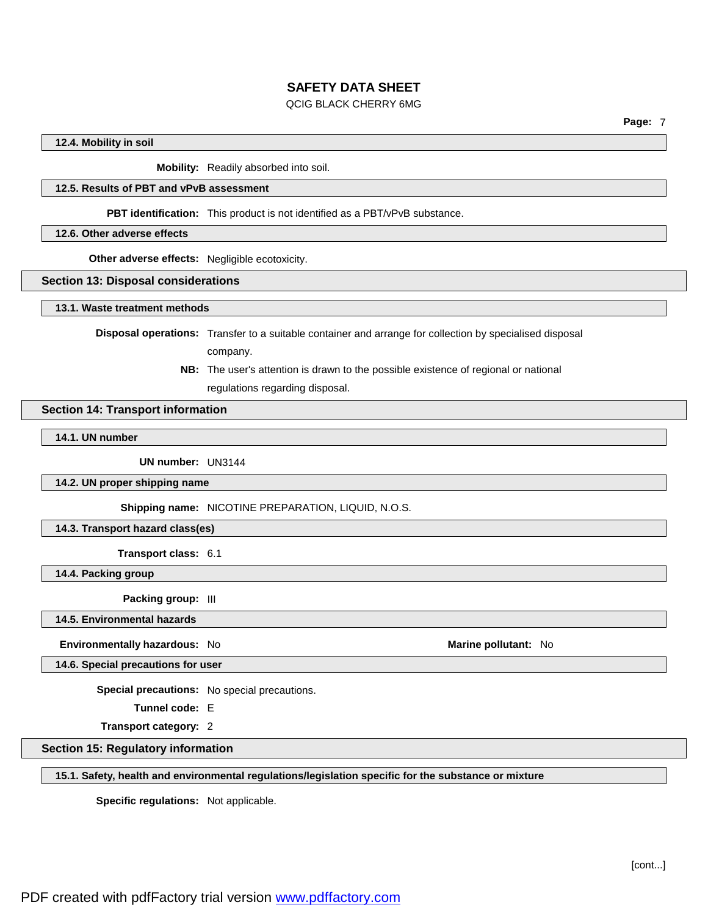#### QCIG BLACK CHERRY 6MG

#### **12.4. Mobility in soil**

**Mobility:** Readily absorbed into soil.

## **12.5. Results of PBT and vPvB assessment**

**PBT identification:** This product is not identified as a PBT/vPvB substance.

#### **12.6. Other adverse effects**

**Other adverse effects:** Negligible ecotoxicity.

#### **Section 13: Disposal considerations**

**13.1. Waste treatment methods**

**Disposal operations:** Transfer to a suitable container and arrange for collection by specialised disposal

company.

**NB:** The user's attention is drawn to the possible existence of regional or national regulations regarding disposal.

### **Section 14: Transport information**

**14.1. UN number**

**UN number:** UN3144

**14.2. UN proper shipping name**

**Shipping name:** NICOTINE PREPARATION, LIQUID, N.O.S.

**14.3. Transport hazard class(es)**

**Transport class:** 6.1

**14.4. Packing group**

**Packing group:** III

**14.5. Environmental hazards**

**Environmentally hazardous:** No **Marine Marine Marine** pollutant: No **Marine Marine** pollutant: No

**14.6. Special precautions for user**

**Special precautions:** No special precautions.

**Tunnel code:** E

**Transport category:** 2

**Section 15: Regulatory information**

**15.1. Safety, health and environmental regulations/legislation specific for the substance or mixture**

**Specific regulations:** Not applicable.